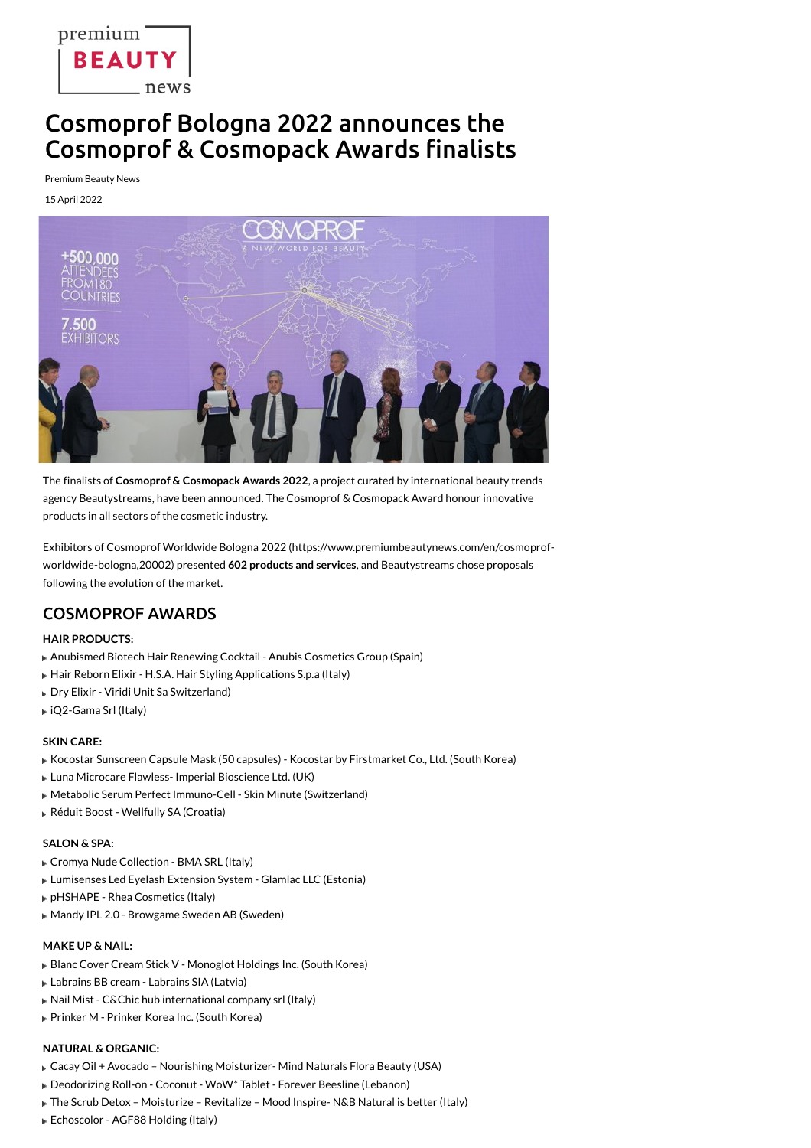premium<sup>-</sup> **BEAUTY** \_ news

# Cosmoprof Bologna 2022 announces the **Cosmoprof & Cosmopack Awards finalists**

**Premium Beauty News** 

15 April 2022



The finalists of Cosmoprof & Cosmopack Awards 2022, a project curated by international beauty trends agency Beautystreams, have been announced. The Cosmoprof & Cosmopack Award honour innovative products in all sectors of the cosmetic industry.

Exhibitors of Cosmoprof Worldwide Bologna 2022 (https://www.premiumbeautynews.com/en/cosmoprofworldwide-bologna, 20002) presented 602 products and services, and Beautystreams chose proposals following the evolution of the market.

## **COSMOPROF AWARDS**

### **HAIR PRODUCTS:**

- Anubismed Biotech Hair Renewing Cocktail Anubis Cosmetics Group (Spain)
- Hair Reborn Elixir H.S.A. Hair Styling Applications S.p.a (Italy)
- Dry Elixir Viridi Unit Sa Switzerland)
- ▶ iQ2-Gama Srl (Italy)

### **SKIN CARE:**

- Kocostar Sunscreen Capsule Mask (50 capsules) Kocostar by Firstmarket Co., Ltd. (South Korea)
- Luna Microcare Flawless-Imperial Bioscience Ltd. (UK)
- Metabolic Serum Perfect Immuno-Cell Skin Minute (Switzerland)
- Réduit Boost Wellfully SA (Croatia)

### **SALON & SPA:**

- Cromya Nude Collection BMA SRL (Italy)
- Lumisenses Led Eyelash Extension System Glamlac LLC (Estonia)
- pHSHAPE Rhea Cosmetics (Italy)
- Mandy IPL 2.0 Browgame Sweden AB (Sweden)

### **MAKE UP & NAIL:**

- Blanc Cover Cream Stick V Monoglot Holdings Inc. (South Korea)
- Labrains BB cream Labrains SIA (Latvia)
- Nail Mist C&Chic hub international company srl (Italy)
- Prinker M Prinker Korea Inc. (South Korea)

### **NATURAL & ORGANIC:**

- Cacay Oil + Avocado Nourishing Moisturizer-Mind Naturals Flora Beauty (USA)
- Deodorizing Roll-on Coconut WoW\* Tablet Forever Beesline (Lebanon)
- The Scrub Detox Moisturize Revitalize Mood Inspire-N&B Natural is better (Italy)
- Echoscolor AGF88 Holding (Italy)